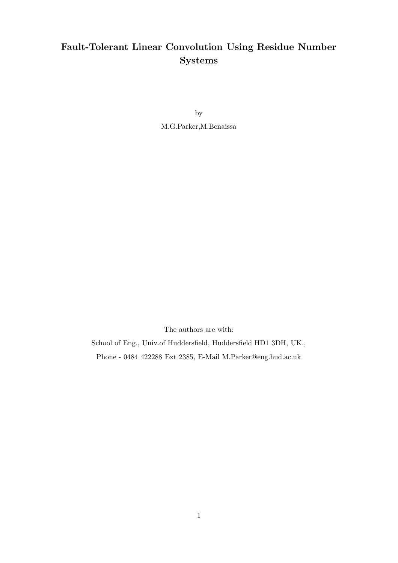# Fault-Tolerant Linear Convolution Using Residue Number Systems

by

M.G.Parker,M.Benaissa

The authors are with:

School of Eng., Univ.of Huddersfield, Huddersfield HD1 3DH, UK., Phone - 0484 422288 Ext 2385, E-Mail M.Parker@eng.hud.ac.uk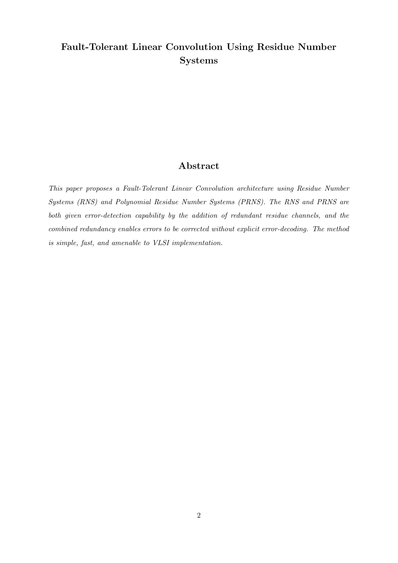# Fault-Tolerant Linear Convolution Using Residue Number Systems

# Abstract

This paper proposes a Fault-Tolerant Linear Convolution architecture using Residue Number Systems (RNS) and Polynomial Residue Number Systems (PRNS). The RNS and PRNS are both given error-detection capability by the addition of redundant residue channels, and the combined redundancy enables errors to be corrected without explicit error-decoding. The method is simple, fast, and amenable to VLSI implementation.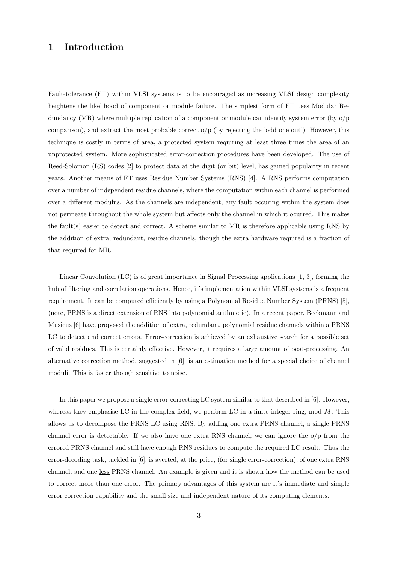## 1 Introduction

Fault-tolerance (FT) within VLSI systems is to be encouraged as increasing VLSI design complexity heightens the likelihood of component or module failure. The simplest form of FT uses Modular Redundancy (MR) where multiple replication of a component or module can identify system error (by  $o/p$ ) comparison), and extract the most probable correct  $o/p$  (by rejecting the 'odd one out'). However, this technique is costly in terms of area, a protected system requiring at least three times the area of an unprotected system. More sophisticated error-correction procedures have been developed. The use of Reed-Solomon (RS) codes [2] to protect data at the digit (or bit) level, has gained popularity in recent years. Another means of FT uses Residue Number Systems (RNS) [4]. A RNS performs computation over a number of independent residue channels, where the computation within each channel is performed over a different modulus. As the channels are independent, any fault occuring within the system does not permeate throughout the whole system but affects only the channel in which it ocurred. This makes the fault(s) easier to detect and correct. A scheme similar to MR is therefore applicable using RNS by the addition of extra, redundant, residue channels, though the extra hardware required is a fraction of that required for MR.

Linear Convolution (LC) is of great importance in Signal Processing applications [1, 3], forming the hub of filtering and correlation operations. Hence, it's implementation within VLSI systems is a frequent requirement. It can be computed efficiently by using a Polynomial Residue Number System (PRNS) [5], (note, PRNS is a direct extension of RNS into polynomial arithmetic). In a recent paper, Beckmann and Musicus [6] have proposed the addition of extra, redundant, polynomial residue channels within a PRNS LC to detect and correct errors. Error-correction is achieved by an exhaustive search for a possible set of valid residues. This is certainly effective. However, it requires a large amount of post-processing. An alternative correction method, suggested in [6], is an estimation method for a special choice of channel moduli. This is faster though sensitive to noise.

In this paper we propose a single error-correcting LC system similar to that described in [6]. However, whereas they emphasise LC in the complex field, we perform LC in a finite integer ring, mod  $M$ . This allows us to decompose the PRNS LC using RNS. By adding one extra PRNS channel, a single PRNS channel error is detectable. If we also have one extra RNS channel, we can ignore the o/p from the errored PRNS channel and still have enough RNS residues to compute the required LC result. Thus the error-decoding task, tackled in [6], is averted, at the price, (for single error-correction), of one extra RNS channel, and one less PRNS channel. An example is given and it is shown how the method can be used to correct more than one error. The primary advantages of this system are it's immediate and simple error correction capability and the small size and independent nature of its computing elements.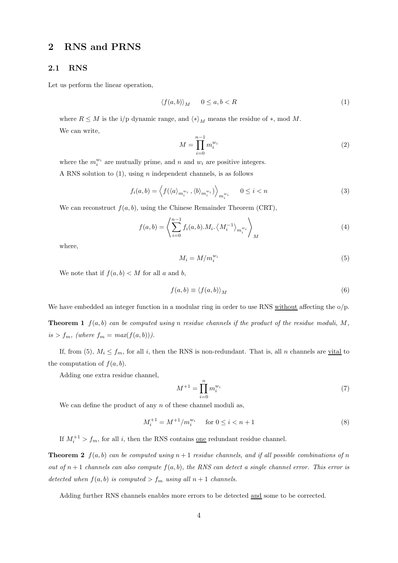## 2 RNS and PRNS

#### 2.1 RNS

Let us perform the linear operation,

$$
\langle f(a,b) \rangle_M \qquad 0 \le a, b < R \tag{1}
$$

where  $R \leq M$  is the i/p dynamic range, and  $\langle * \rangle_M$  means the residue of  $*, \text{ mod } M$ . We can write,

$$
M = \prod_{i=0}^{n-1} m_i^{w_i} \tag{2}
$$

where the  $m_i^{w_i}$  are mutually prime, and n and  $w_i$  are positive integers.

A RNS solution to  $(1)$ , using *n* independent channels, is as follows

$$
f_i(a,b) = \left\langle f(\langle a \rangle_{m_i^{w_i}}, \langle b \rangle_{m_i^{w_i}}) \right\rangle_{m_i^{w_i}} \qquad 0 \le i < n \tag{3}
$$

We can reconstruct  $f(a, b)$ , using the Chinese Remainder Theorem (CRT),

$$
f(a,b) = \left\langle \sum_{i=0}^{n-1} f_i(a,b).M_i. \left\langle M_i^{-1} \right\rangle_{m_i^{w_i}} \right\rangle_M
$$
 (4)

where,

$$
M_i = M/m_i^{w_i} \tag{5}
$$

We note that if  $f(a, b) < M$  for all a and b,

$$
f(a,b) \equiv \langle f(a,b) \rangle_M \tag{6}
$$

We have embedded an integer function in a modular ring in order to use RNS without affecting the  $o/p$ .

**Theorem 1**  $f(a, b)$  can be computed using n residue channels if the product of the residue moduli, M,  $is > f_m$ , (where  $f_m = max(f(a, b))$ ).

If, from (5),  $M_i \le f_m$ , for all i, then the RNS is non-redundant. That is, all n channels are <u>vital</u> to the computation of  $f(a, b)$ .

Adding one extra residue channel,

$$
M^{+1} = \prod_{i=0}^{n} m_i^{w_i}
$$
 (7)

We can define the product of any  $n$  of these channel moduli as,

$$
M_i^{+1} = M^{+1}/m_i^{w_i} \quad \text{for } 0 \le i < n+1 \tag{8}
$$

If  $M_i^{+1} > f_m$ , for all i, then the RNS contains <u>one</u> redundant residue channel.

**Theorem 2**  $f(a, b)$  can be computed using  $n + 1$  residue channels, and if all possible combinations of n out of  $n + 1$  channels can also compute  $f(a, b)$ , the RNS can detect a single channel error. This error is detected when  $f(a, b)$  is computed  $\gt f_m$  using all  $n + 1$  channels.

Adding further RNS channels enables more errors to be detected and some to be corrected.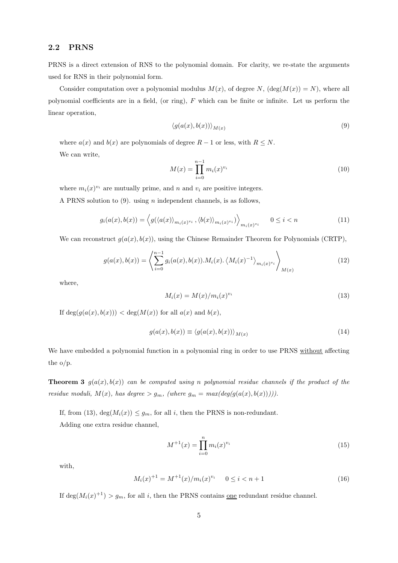### 2.2 PRNS

PRNS is a direct extension of RNS to the polynomial domain. For clarity, we re-state the arguments used for RNS in their polynomial form.

Consider computation over a polynomial modulus  $M(x)$ , of degree N,  $(\deg(M(x)) = N)$ , where all polynomial coefficients are in a field, (or ring),  $F$  which can be finite or infinite. Let us perform the linear operation,

$$
\langle g(a(x), b(x)) \rangle_{M(x)} \tag{9}
$$

where  $a(x)$  and  $b(x)$  are polynomials of degree  $R-1$  or less, with  $R \leq N$ . We can write,

$$
M(x) = \prod_{i=0}^{n-1} m_i(x)^{v_i}
$$
 (10)

where  $m_i(x)^{v_i}$  are mutually prime, and n and  $v_i$  are positive integers.

A PRNS solution to  $(9)$ . using *n* independent channels, is as follows,

$$
g_i(a(x), b(x)) = \left\langle g(\left\langle a(x) \right\rangle_{m_i(x)^{v_i}}, \left\langle b(x) \right\rangle_{m_i(x)^{v_i}}) \right\rangle_{m_i(x)^{v_i}} \qquad 0 \le i < n \tag{11}
$$

We can reconstruct  $g(a(x), b(x))$ , using the Chinese Remainder Theorem for Polynomials (CRTP),

$$
g(a(x), b(x)) = \left\langle \sum_{i=0}^{n-1} g_i(a(x), b(x)).M_i(x) \cdot \left\langle M_i(x)^{-1} \right\rangle_{m_i(x)^{v_i}} \right\rangle_{M(x)}
$$
(12)

where,

$$
M_i(x) = M(x)/m_i(x)^{v_i}
$$
\n
$$
(13)
$$

If  $\deg(g(a(x), b(x))) < \deg(M(x))$  for all  $a(x)$  and  $b(x)$ ,

$$
g(a(x), b(x)) \equiv \langle g(a(x), b(x)) \rangle_{M(x)}
$$
\n(14)

We have embedded a polynomial function in a polynomial ring in order to use PRNS without affecting the o/p.

**Theorem 3**  $g(a(x), b(x))$  can be computed using n polynomial residue channels if the product of the residue moduli,  $M(x)$ , has degree  $> g_m$ , (where  $g_m = max(deg(g(a(x), b(x)))))$ .

If, from (13),  $\deg(M_i(x)) \leq g_m$ , for all i, then the PRNS is non-redundant. Adding one extra residue channel,

$$
M^{+1}(x) = \prod_{i=0}^{n} m_i(x)^{v_i}
$$
 (15)

with,

$$
M_i(x)^{+1} = M^{+1}(x) / m_i(x)^{v_i} \qquad 0 \le i < n+1 \tag{16}
$$

If  $\deg(M_i(x)^{+1}) > g_m$ , for all i, then the PRNS contains <u>one</u> redundant residue channel.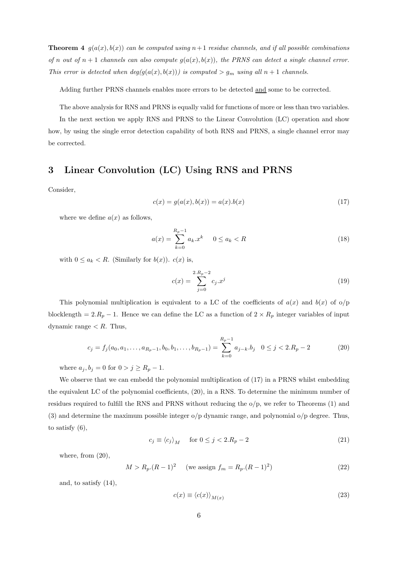**Theorem 4**  $g(a(x), b(x))$  can be computed using  $n+1$  residue channels, and if all possible combinations of n out of  $n+1$  channels can also compute  $g(a(x), b(x))$ , the PRNS can detect a single channel error. This error is detected when  $deg(g(a(x), b(x)))$  is computed  $> g_m$  using all  $n + 1$  channels.

Adding further PRNS channels enables more errors to be detected and some to be corrected.

The above analysis for RNS and PRNS is equally valid for functions of more or less than two variables.

In the next section we apply RNS and PRNS to the Linear Convolution (LC) operation and show how, by using the single error detection capability of both RNS and PRNS, a single channel error may be corrected.

## 3 Linear Convolution (LC) Using RNS and PRNS

Consider,

$$
c(x) = g(a(x), b(x)) = a(x).b(x)
$$
\n(17)

where we define  $a(x)$  as follows,

$$
a(x) = \sum_{k=0}^{R_p - 1} a_k x^k \quad 0 \le a_k < R \tag{18}
$$

with  $0 \le a_k < R$ . (Similarly for  $b(x)$ ).  $c(x)$  is,

$$
c(x) = \sum_{j=0}^{2.R_p - 2} c_j . x^j
$$
 (19)

This polynomial multiplication is equivalent to a LC of the coefficients of  $a(x)$  and  $b(x)$  of  $o/p$ blocklength =  $2.R_p - 1$ . Hence we can define the LC as a function of  $2 \times R_p$  integer variables of input dynamic range  $\lt R$ . Thus,

$$
c_j = f_j(a_0, a_1, \dots, a_{R_p-1}, b_0, b_1, \dots, b_{R_p-1}) = \sum_{k=0}^{R_p-1} a_{j-k} b_j \quad 0 \le j < 2. R_p - 2 \tag{20}
$$

where  $a_j, b_j = 0$  for  $0 > j \ge R_p - 1$ .

We observe that we can embedd the polynomial multiplication of  $(17)$  in a PRNS whilst embedding the equivalent LC of the polynomial coefficients, (20), in a RNS. To determine the minimum number of residues required to fulfill the RNS and PRNS without reducing the o/p, we refer to Theorems (1) and (3) and determine the maximum possible integer o/p dynamic range, and polynomial o/p degree. Thus, to satisfy (6),

$$
c_j \equiv \langle c_j \rangle_M \quad \text{for } 0 \le j < 2. R_p - 2 \tag{21}
$$

where, from  $(20)$ ,

$$
M > R_p (R - 1)^2 \quad \text{(we assign } f_m = R_p (R - 1)^2)
$$
 (22)

and, to satisfy (14),

$$
c(x) \equiv \langle c(x) \rangle_{M(x)} \tag{23}
$$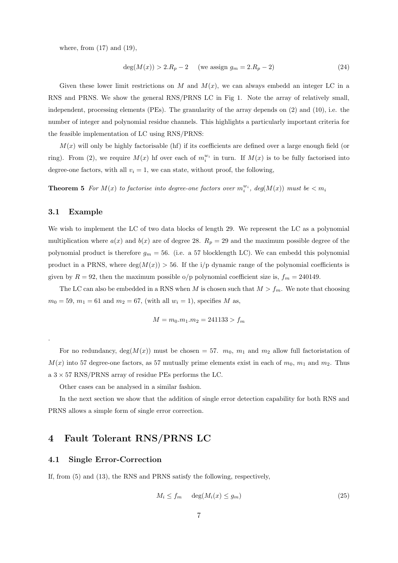where, from (17) and (19),

$$
deg(M(x)) > 2.R_p - 2 \t (we assign g_m = 2.R_p - 2)
$$
\n(24)

Given these lower limit restrictions on M and  $M(x)$ , we can always embedd an integer LC in a RNS and PRNS. We show the general RNS/PRNS LC in Fig 1. Note the array of relatively small, independent, processing elements (PEs). The granularity of the array depends on (2) and (10), i.e. the number of integer and polynomial residue channels. This highlights a particularly important criteria for the feasible implementation of LC using RNS/PRNS:

 $M(x)$  will only be highly factorisable (hf) if its coefficients are defined over a large enough field (or ring). From (2), we require  $M(x)$  hf over each of  $m_i^{w_i}$  in turn. If  $M(x)$  is to be fully factorised into degree-one factors, with all  $v_i = 1$ , we can state, without proof, the following,

**Theorem 5** For  $M(x)$  to factorise into degree-one factors over  $m_i^{w_i}$ , deg $(M(x))$  must be  $\lt m_i$ 

#### 3.1 Example

.

We wish to implement the LC of two data blocks of length 29. We represent the LC as a polynomial multiplication where  $a(x)$  and  $b(x)$  are of degree 28.  $R_p = 29$  and the maximum possible degree of the polynomial product is therefore  $g_m = 56$ . (i.e. a 57 blocklength LC). We can embedd this polynomial product in a PRNS, where  $deg(M(x)) > 56$ . If the i/p dynamic range of the polynomial coefficients is given by  $R = 92$ , then the maximum possible o/p polynomial coefficient size is,  $f_m = 240149$ .

The LC can also be embedded in a RNS when M is chosen such that  $M > f_m$ . We note that choosing  $m_0 = 59, m_1 = 61$  and  $m_2 = 67$ , (with all  $w_i = 1$ ), specifies M as,

$$
M = m_0.m_1.m_2 = 241133 > f_m
$$

For no redundancy,  $deg(M(x))$  must be chosen = 57.  $m_0$ ,  $m_1$  and  $m_2$  allow full factoristation of  $M(x)$  into 57 degree-one factors, as 57 mutually prime elements exist in each of  $m_0$ ,  $m_1$  and  $m_2$ . Thus a  $3 \times 57$  RNS/PRNS array of residue PEs performs the LC.

Other cases can be analysed in a similar fashion.

In the next section we show that the addition of single error detection capability for both RNS and PRNS allows a simple form of single error correction.

## 4 Fault Tolerant RNS/PRNS LC

#### 4.1 Single Error-Correction

If, from (5) and (13), the RNS and PRNS satisfy the following, respectively,

$$
M_i \le f_m \quad \deg(M_i(x) \le g_m) \tag{25}
$$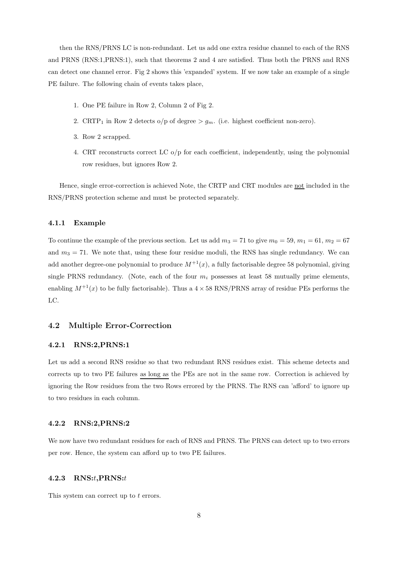then the RNS/PRNS LC is non-redundant. Let us add one extra residue channel to each of the RNS and PRNS (RNS:1,PRNS:1), such that theorems 2 and 4 are satisfied. Thus both the PRNS and RNS can detect one channel error. Fig 2 shows this 'expanded' system. If we now take an example of a single PE failure. The following chain of events takes place,

- 1. One PE failure in Row 2, Column 2 of Fig 2.
- 2. CRTP<sub>1</sub> in Row 2 detects o/p of degree  $> g_m$ . (i.e. highest coefficient non-zero).
- 3. Row 2 scrapped.
- 4. CRT reconstructs correct LC o/p for each coefficient, independently, using the polynomial row residues, but ignores Row 2.

Hence, single error-correction is achieved Note, the CRTP and CRT modules are not included in the RNS/PRNS protection scheme and must be protected separately.

#### 4.1.1 Example

To continue the example of the previous section. Let us add  $m_3 = 71$  to give  $m_0 = 59$ ,  $m_1 = 61$ ,  $m_2 = 67$ and  $m_3 = 71$ . We note that, using these four residue moduli, the RNS has single redundancy. We can add another degree-one polynomial to produce  $M^{+1}(x)$ , a fully factorisable degree 58 polynomial, giving single PRNS redundancy. (Note, each of the four  $m_i$  possesses at least 58 mutually prime elements, enabling  $M^{+1}(x)$  to be fully factorisable). Thus a  $4 \times 58$  RNS/PRNS array of residue PEs performs the LC.

#### 4.2 Multiple Error-Correction

#### 4.2.1 RNS:2,PRNS:1

Let us add a second RNS residue so that two redundant RNS residues exist. This scheme detects and corrects up to two PE failures as long as the PEs are not in the same row. Correction is achieved by ignoring the Row residues from the two Rows errored by the PRNS. The RNS can 'afford' to ignore up to two residues in each column.

#### 4.2.2 RNS:2,PRNS:2

We now have two redundant residues for each of RNS and PRNS. The PRNS can detect up to two errors per row. Hence, the system can afford up to two PE failures.

#### 4.2.3 RNS:t,PRNS:t

This system can correct up to t errors.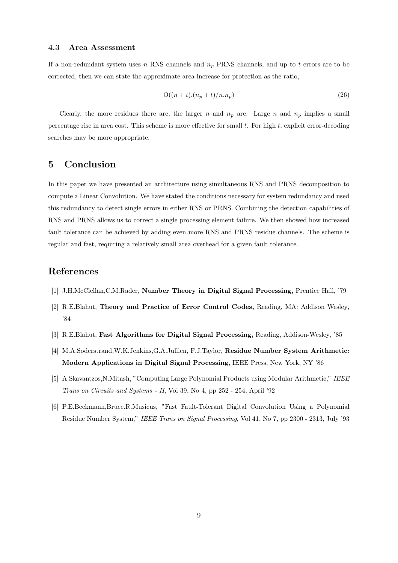#### 4.3 Area Assessment

If a non-redundant system uses n RNS channels and  $n_p$  PRNS channels, and up to t errors are to be corrected, then we can state the approximate area increase for protection as the ratio,

$$
O((n+t)(n_p+t)/n.n_p) \tag{26}
$$

Clearly, the more residues there are, the larger n and  $n_p$  are. Large n and  $n_p$  implies a small percentage rise in area cost. This scheme is more effective for small  $t$ . For high  $t$ , explicit error-decoding searches may be more appropriate.

### 5 Conclusion

In this paper we have presented an architecture using simultaneous RNS and PRNS decomposition to compute a Linear Convolution. We have stated the conditions necessary for system redundancy and used this redundancy to detect single errors in either RNS or PRNS. Combining the detection capabilities of RNS and PRNS allows us to correct a single processing element failure. We then showed how increased fault tolerance can be achieved by adding even more RNS and PRNS residue channels. The scheme is regular and fast, requiring a relatively small area overhead for a given fault tolerance.

## References

- [1] J.H.McClellan,C.M.Rader, Number Theory in Digital Signal Processing, Prentice Hall, '79
- [2] R.E.Blahut, Theory and Practice of Error Control Codes, Reading, MA: Addison Wesley, '84
- [3] R.E.Blahut, Fast Algorithms for Digital Signal Processing, Reading, Addison-Wesley, '85
- [4] M.A.Soderstrand,W.K.Jenkins,G.A.Jullien, F.J.Taylor, Residue Number System Arithmetic: Modern Applications in Digital Signal Processing, IEEE Press, New York, NY '86
- [5] A.Skavantzos,N.Mitash, "Computing Large Polynomial Products using Modular Arithmetic," IEEE Trans on Circuits and Systems - II, Vol 39, No 4, pp 252 - 254, April '92
- [6] P.E.Beckmann,Bruce.R.Musicus, "Fast Fault-Tolerant Digital Convolution Using a Polynomial Residue Number System," IEEE Trans on Signal Processing, Vol 41, No 7, pp 2300 - 2313, July '93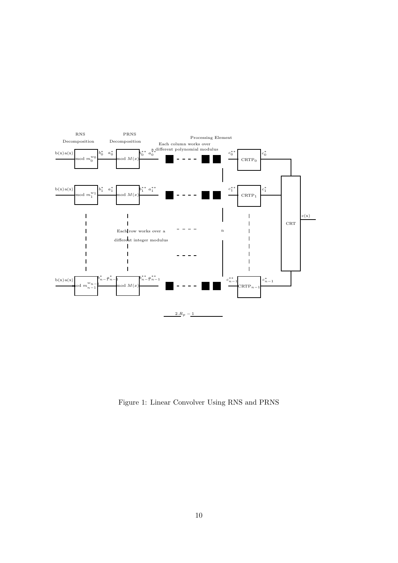

Figure 1: Linear Convolver Using RNS and PRNS